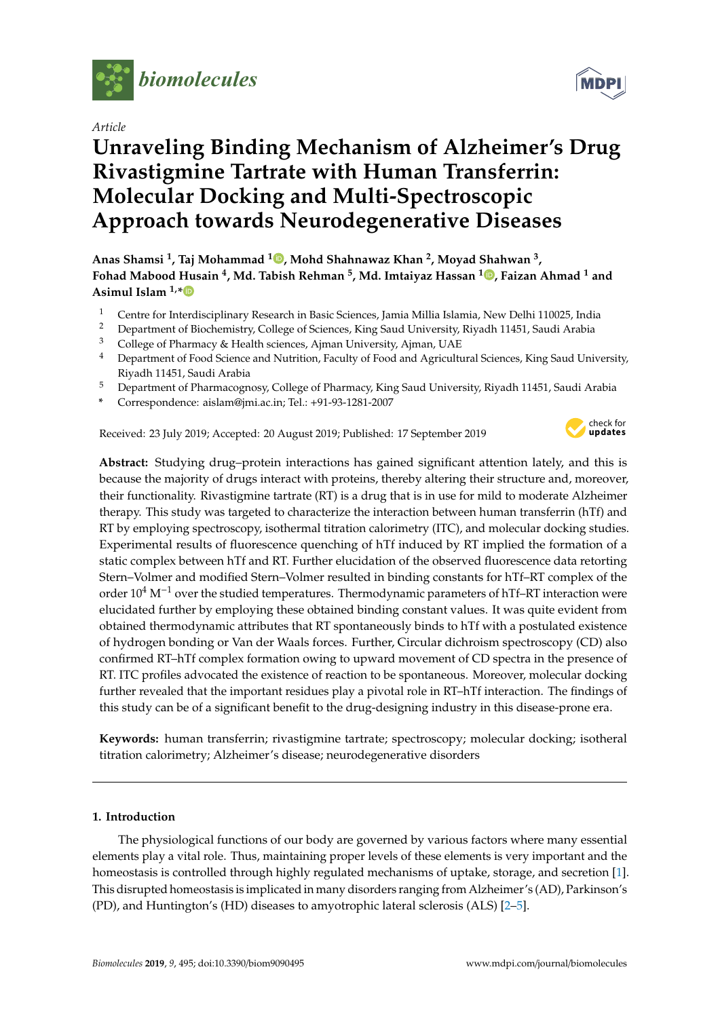

*Article*

# **Unraveling Binding Mechanism of Alzheimer's Drug Rivastigmine Tartrate with Human Transferrin: Molecular Docking and Multi-Spectroscopic Approach towards Neurodegenerative Diseases**

**Anas Shamsi <sup>1</sup> , Taj Mohammad <sup>1</sup> , Mohd Shahnawaz Khan <sup>2</sup> , Moyad Shahwan <sup>3</sup> , Fohad Mabood Husain <sup>4</sup> , Md. Tabish Rehman <sup>5</sup> , Md. Imtaiyaz Hassan <sup>1</sup> , Faizan Ahmad <sup>1</sup> and Asimul Islam 1,\***

- <sup>1</sup> Centre for Interdisciplinary Research in Basic Sciences, Jamia Millia Islamia, New Delhi 110025, India<br><sup>2</sup> Department of Biochamistry College of Sciences, King Saud University Biyadh 11451, Saudi Arabia
- <sup>2</sup> Department of Biochemistry, College of Sciences, King Saud University, Riyadh 11451, Saudi Arabia
- <sup>3</sup> College of Pharmacy & Health sciences, Ajman University, Ajman, UAE
- <sup>4</sup> Department of Food Science and Nutrition, Faculty of Food and Agricultural Sciences, King Saud University, Riyadh 11451, Saudi Arabia
- <sup>5</sup> Department of Pharmacognosy, College of Pharmacy, King Saud University, Riyadh 11451, Saudi Arabia
- **\*** Correspondence: aislam@jmi.ac.in; Tel.: +91-93-1281-2007

Received: 23 July 2019; Accepted: 20 August 2019; Published: 17 September 2019



**Abstract:** Studying drug–protein interactions has gained significant attention lately, and this is because the majority of drugs interact with proteins, thereby altering their structure and, moreover, their functionality. Rivastigmine tartrate (RT) is a drug that is in use for mild to moderate Alzheimer therapy. This study was targeted to characterize the interaction between human transferrin (hTf) and RT by employing spectroscopy, isothermal titration calorimetry (ITC), and molecular docking studies. Experimental results of fluorescence quenching of hTf induced by RT implied the formation of a static complex between hTf and RT. Further elucidation of the observed fluorescence data retorting Stern–Volmer and modified Stern–Volmer resulted in binding constants for hTf–RT complex of the order 10<sup>4</sup> M<sup>-1</sup> over the studied temperatures. Thermodynamic parameters of hTf–RT interaction were elucidated further by employing these obtained binding constant values. It was quite evident from obtained thermodynamic attributes that RT spontaneously binds to hTf with a postulated existence of hydrogen bonding or Van der Waals forces. Further, Circular dichroism spectroscopy (CD) also confirmed RT–hTf complex formation owing to upward movement of CD spectra in the presence of RT. ITC profiles advocated the existence of reaction to be spontaneous. Moreover, molecular docking further revealed that the important residues play a pivotal role in RT–hTf interaction. The findings of this study can be of a significant benefit to the drug-designing industry in this disease-prone era.

**Keywords:** human transferrin; rivastigmine tartrate; spectroscopy; molecular docking; isotheral titration calorimetry; Alzheimer's disease; neurodegenerative disorders

# **1. Introduction**

The physiological functions of our body are governed by various factors where many essential elements play a vital role. Thus, maintaining proper levels of these elements is very important and the homeostasis is controlled through highly regulated mechanisms of uptake, storage, and secretion [1]. This disrupted homeostasis is implicated in many disorders ranging from Alzheimer's (AD), Parkinson's (PD), and Huntington's (HD) diseases to amyotrophic lateral sclerosis (ALS) [2–5].

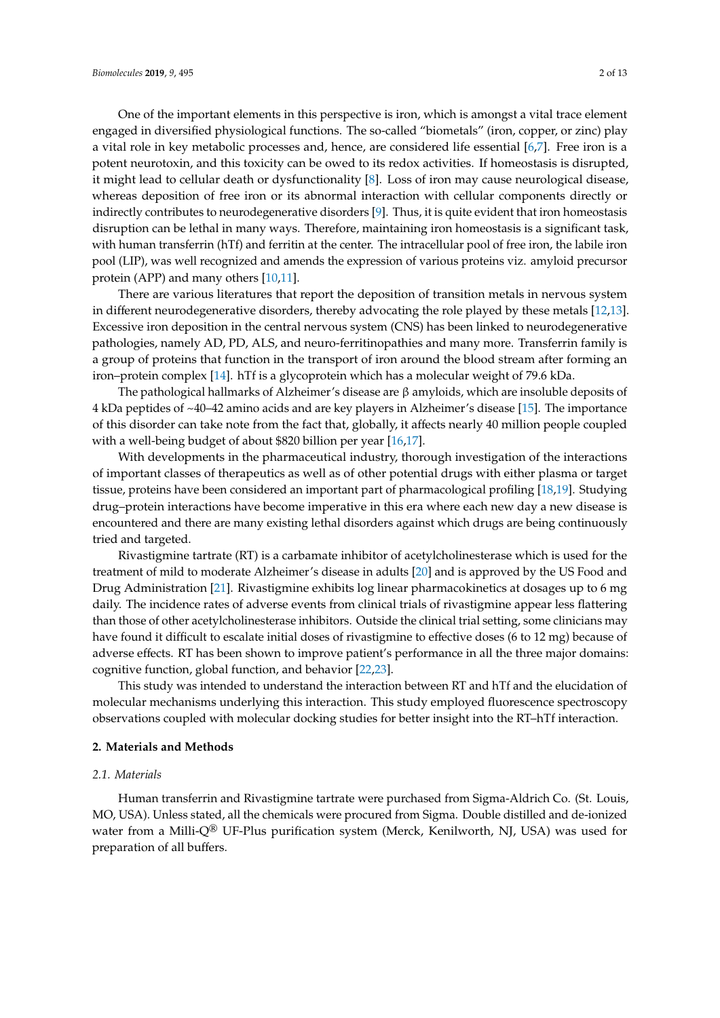One of the important elements in this perspective is iron, which is amongst a vital trace element engaged in diversified physiological functions. The so-called "biometals" (iron, copper, or zinc) play a vital role in key metabolic processes and, hence, are considered life essential [6,7]. Free iron is a potent neurotoxin, and this toxicity can be owed to its redox activities. If homeostasis is disrupted, it might lead to cellular death or dysfunctionality [8]. Loss of iron may cause neurological disease, whereas deposition of free iron or its abnormal interaction with cellular components directly or indirectly contributes to neurodegenerative disorders [9]. Thus, it is quite evident that iron homeostasis disruption can be lethal in many ways. Therefore, maintaining iron homeostasis is a significant task, with human transferrin (hTf) and ferritin at the center. The intracellular pool of free iron, the labile iron pool (LIP), was well recognized and amends the expression of various proteins viz. amyloid precursor protein (APP) and many others [10,11].

There are various literatures that report the deposition of transition metals in nervous system in different neurodegenerative disorders, thereby advocating the role played by these metals [12,13]. Excessive iron deposition in the central nervous system (CNS) has been linked to neurodegenerative pathologies, namely AD, PD, ALS, and neuro-ferritinopathies and many more. Transferrin family is a group of proteins that function in the transport of iron around the blood stream after forming an iron–protein complex [14]. hTf is a glycoprotein which has a molecular weight of 79.6 kDa.

The pathological hallmarks of Alzheimer's disease are  $\beta$  amyloids, which are insoluble deposits of 4 kDa peptides of ~40–42 amino acids and are key players in Alzheimer's disease [15]. The importance of this disorder can take note from the fact that, globally, it affects nearly 40 million people coupled with a well-being budget of about \$820 billion per year [16,17].

With developments in the pharmaceutical industry, thorough investigation of the interactions of important classes of therapeutics as well as of other potential drugs with either plasma or target tissue, proteins have been considered an important part of pharmacological profiling [18,19]. Studying drug–protein interactions have become imperative in this era where each new day a new disease is encountered and there are many existing lethal disorders against which drugs are being continuously tried and targeted.

Rivastigmine tartrate (RT) is a carbamate inhibitor of acetylcholinesterase which is used for the treatment of mild to moderate Alzheimer's disease in adults [20] and is approved by the US Food and Drug Administration [21]. Rivastigmine exhibits log linear pharmacokinetics at dosages up to 6 mg daily. The incidence rates of adverse events from clinical trials of rivastigmine appear less flattering than those of other acetylcholinesterase inhibitors. Outside the clinical trial setting, some clinicians may have found it difficult to escalate initial doses of rivastigmine to effective doses (6 to 12 mg) because of adverse effects. RT has been shown to improve patient's performance in all the three major domains: cognitive function, global function, and behavior [22,23].

This study was intended to understand the interaction between RT and hTf and the elucidation of molecular mechanisms underlying this interaction. This study employed fluorescence spectroscopy observations coupled with molecular docking studies for better insight into the RT–hTf interaction.

### **2. Materials and Methods**

## *2.1. Materials*

Human transferrin and Rivastigmine tartrate were purchased from Sigma-Aldrich Co. (St. Louis, MO, USA). Unless stated, all the chemicals were procured from Sigma. Double distilled and de-ionized water from a Milli- $Q^{\circledR}$  UF-Plus purification system (Merck, Kenilworth, NJ, USA) was used for preparation of all buffers.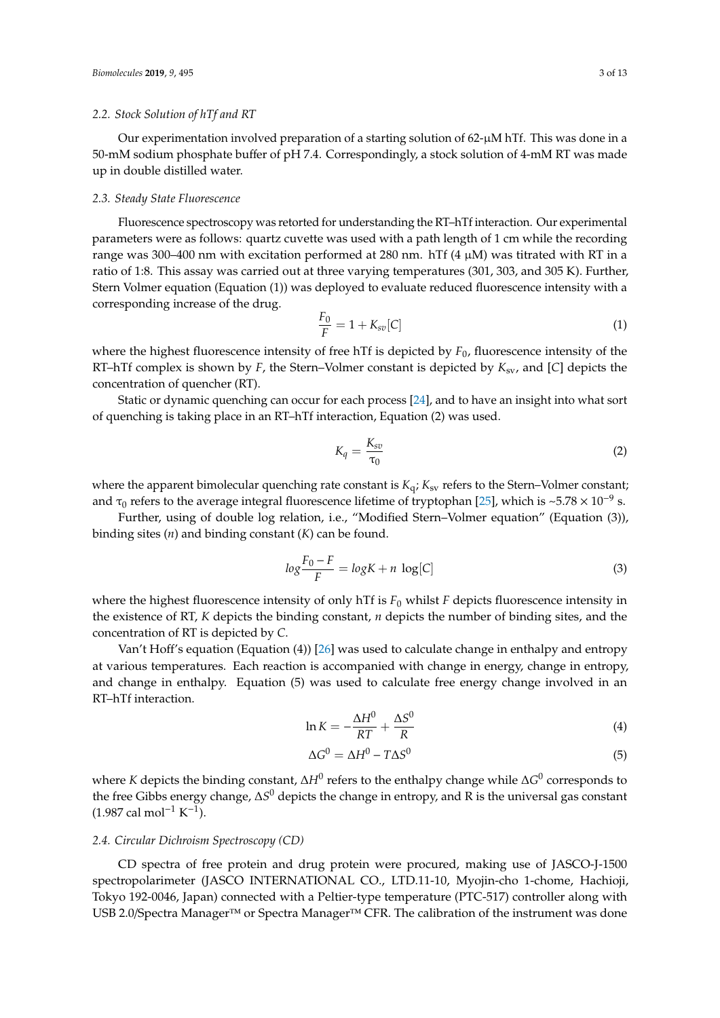#### *2.2. Stock Solution of hTf and RT*

Our experimentation involved preparation of a starting solution of 62-µM hTf. This was done in a 50-mM sodium phosphate buffer of pH 7.4. Correspondingly, a stock solution of 4-mM RT was made up in double distilled water.

#### *2.3. Steady State Fluorescence*

Fluorescence spectroscopy was retorted for understanding the RT–hTf interaction. Our experimental parameters were as follows: quartz cuvette was used with a path length of 1 cm while the recording range was 300–400 nm with excitation performed at 280 nm. hTf  $(4 \mu M)$  was titrated with RT in a ratio of 1:8. This assay was carried out at three varying temperatures (301, 303, and 305 K). Further, Stern Volmer equation (Equation (1)) was deployed to evaluate reduced fluorescence intensity with a corresponding increase of the drug.

$$
\frac{F_0}{F} = 1 + K_{sv}[C]
$$
 (1)

where the highest fluorescence intensity of free hTf is depicted by *F*0, fluorescence intensity of the RT–hTf complex is shown by *F*, the Stern–Volmer constant is depicted by *K*sv, and [*C*] depicts the concentration of quencher (RT).

Static or dynamic quenching can occur for each process [24], and to have an insight into what sort of quenching is taking place in an RT–hTf interaction, Equation (2) was used.

$$
K_q = \frac{K_{sv}}{\tau_0} \tag{2}
$$

where the apparent bimolecular quenching rate constant is  $K_q$ ;  $K_{sv}$  refers to the Stern–Volmer constant; and  $\tau_0$  refers to the average integral fluorescence lifetime of tryptophan [25], which is ~5.78 × 10<sup>-9</sup> s.

Further, using of double log relation, i.e., "Modified Stern–Volmer equation" (Equation (3)), binding sites (*n*) and binding constant (*K*) can be found.

$$
\log \frac{F_0 - F}{F} = \log K + n \, \log [C] \tag{3}
$$

where the highest fluorescence intensity of only hTf is  $F_0$  whilst  $F$  depicts fluorescence intensity in the existence of RT, *K* depicts the binding constant, *n* depicts the number of binding sites, and the concentration of RT is depicted by *C*.

Van't Hoff's equation (Equation (4)) [26] was used to calculate change in enthalpy and entropy at various temperatures. Each reaction is accompanied with change in energy, change in entropy, and change in enthalpy. Equation (5) was used to calculate free energy change involved in an RT–hTf interaction.

$$
\ln K = -\frac{\Delta H^0}{RT} + \frac{\Delta S^0}{R}
$$
 (4)

$$
\Delta G^0 = \Delta H^0 - T\Delta S^0 \tag{5}
$$

where *K* depicts the binding constant, ∆*H*<sup>0</sup> refers to the enthalpy change while ∆*G* 0 corresponds to the free Gibbs energy change, ∆S<sup>0</sup> depicts the change in entropy, and R is the universal gas constant  $(1.987 \text{ cal mol}^{-1} \text{ K}^{-1}).$ 

## *2.4. Circular Dichroism Spectroscopy (CD)*

CD spectra of free protein and drug protein were procured, making use of JASCO-J-1500 spectropolarimeter (JASCO INTERNATIONAL CO., LTD.11-10, Myojin-cho 1-chome, Hachioji, Tokyo 192-0046, Japan) connected with a Peltier-type temperature (PTC-517) controller along with USB 2.0/Spectra Manager™ or Spectra Manager™ CFR. The calibration of the instrument was done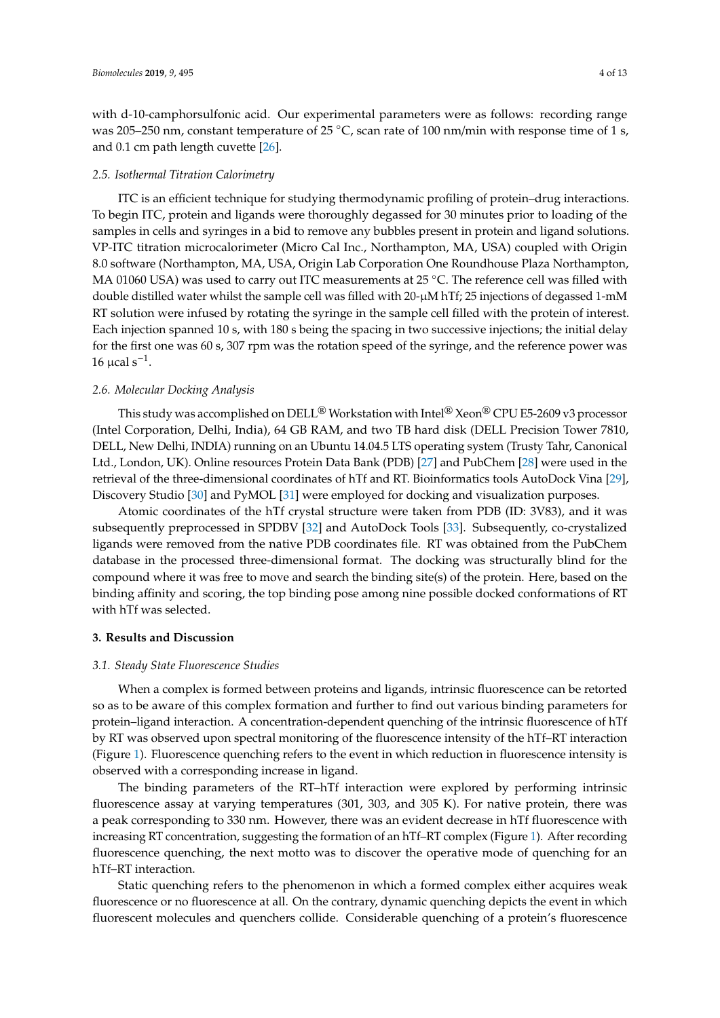with d-10-camphorsulfonic acid. Our experimental parameters were as follows: recording range was 205–250 nm, constant temperature of 25 °C, scan rate of 100 nm/min with response time of 1 s, and 0.1 cm path length cuvette [26].

#### *2.5. Isothermal Titration Calorimetry*

ITC is an efficient technique for studying thermodynamic profiling of protein–drug interactions. To begin ITC, protein and ligands were thoroughly degassed for 30 minutes prior to loading of the samples in cells and syringes in a bid to remove any bubbles present in protein and ligand solutions. VP-ITC titration microcalorimeter (Micro Cal Inc., Northampton, MA, USA) coupled with Origin 8.0 software (Northampton, MA, USA, Origin Lab Corporation One Roundhouse Plaza Northampton, MA 01060 USA) was used to carry out ITC measurements at 25 °C. The reference cell was filled with double distilled water whilst the sample cell was filled with 20-µM hTf; 25 injections of degassed 1-mM RT solution were infused by rotating the syringe in the sample cell filled with the protein of interest. Each injection spanned 10 s, with 180 s being the spacing in two successive injections; the initial delay for the first one was 60 s, 307 rpm was the rotation speed of the syringe, and the reference power was 16 μcal  $s^{-1}$ .

# *2.6. Molecular Docking Analysis*

This study was accomplished on DELL<sup>®</sup> Workstation with Intel<sup>®</sup> Xeon<sup>®</sup> CPU E5-2609 v3 processor (Intel Corporation, Delhi, India), 64 GB RAM, and two TB hard disk (DELL Precision Tower 7810, DELL, New Delhi, INDIA) running on an Ubuntu 14.04.5 LTS operating system (Trusty Tahr, Canonical Ltd., London, UK). Online resources Protein Data Bank (PDB) [27] and PubChem [28] were used in the retrieval of the three-dimensional coordinates of hTf and RT. Bioinformatics tools AutoDock Vina [29], Discovery Studio [30] and PyMOL [31] were employed for docking and visualization purposes.

Atomic coordinates of the hTf crystal structure were taken from PDB (ID: 3V83), and it was subsequently preprocessed in SPDBV [32] and AutoDock Tools [33]. Subsequently, co-crystalized ligands were removed from the native PDB coordinates file. RT was obtained from the PubChem database in the processed three-dimensional format. The docking was structurally blind for the compound where it was free to move and search the binding site(s) of the protein. Here, based on the binding affinity and scoring, the top binding pose among nine possible docked conformations of RT with hTf was selected.

#### **3. Results and Discussion**

# *3.1. Steady State Fluorescence Studies*

When a complex is formed between proteins and ligands, intrinsic fluorescence can be retorted so as to be aware of this complex formation and further to find out various binding parameters for protein–ligand interaction. A concentration-dependent quenching of the intrinsic fluorescence of hTf by RT was observed upon spectral monitoring of the fluorescence intensity of the hTf–RT interaction (Figure 1). Fluorescence quenching refers to the event in which reduction in fluorescence intensity is observed with a corresponding increase in ligand.

The binding parameters of the RT–hTf interaction were explored by performing intrinsic fluorescence assay at varying temperatures (301, 303, and 305 K). For native protein, there was a peak corresponding to 330 nm. However, there was an evident decrease in hTf fluorescence with increasing RT concentration, suggesting the formation of an hTf–RT complex (Figure 1). After recording fluorescence quenching, the next motto was to discover the operative mode of quenching for an hTf–RT interaction.

Static quenching refers to the phenomenon in which a formed complex either acquires weak fluorescence or no fluorescence at all. On the contrary, dynamic quenching depicts the event in which fluorescent molecules and quenchers collide. Considerable quenching of a protein's fluorescence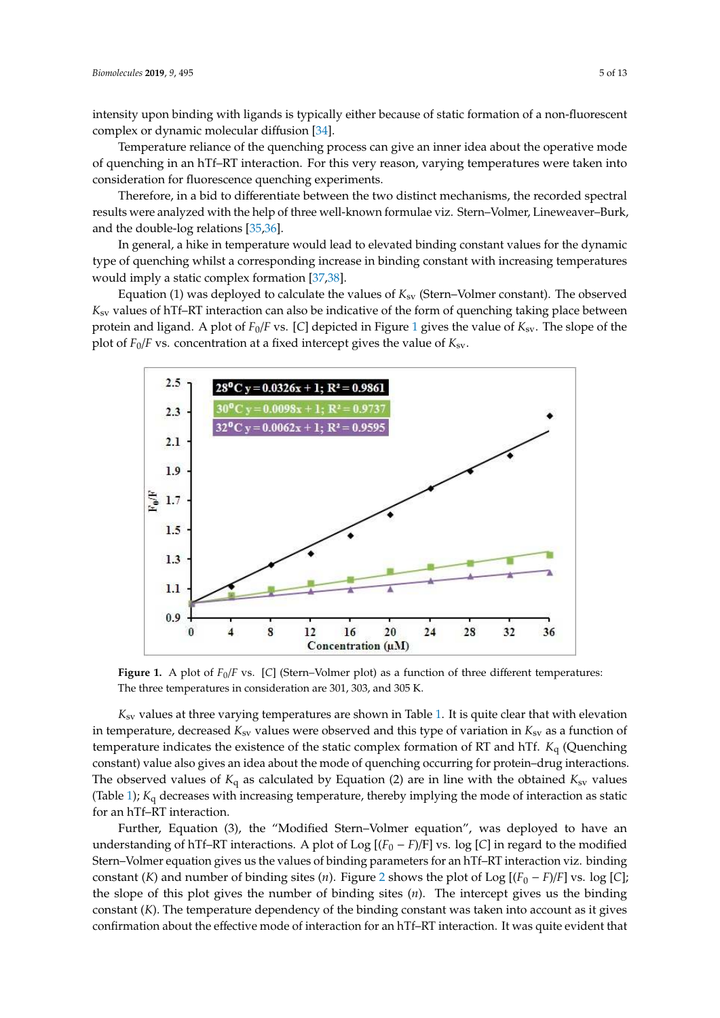intensity upon binding with ligands is typically either because of static formation of a non-fluorescent complex or dynamic molecular diffusion [34].

Temperature reliance of the quenching process can give an inner idea about the operative mode of quenching in an hTf–RT interaction. For this very reason, varying temperatures were taken into consideration for fluorescence quenching experiments.

Therefore, in a bid to differentiate between the two distinct mechanisms, the recorded spectral results were analyzed with the help of three well-known formulae viz. Stern–Volmer, Lineweaver–Burk, and the double-log relations [35,36].

In general, a hike in temperature would lead to elevated binding constant values for the dynamic type of quenching whilst a corresponding increase in binding constant with increasing temperatures would imply a static complex formation [37,38].

Equation (1) was deployed to calculate the values of *K*sv (Stern–Volmer constant). The observed *K*sv values of hTf–RT interaction can also be indicative of the form of quenching taking place between protein and ligand. A plot of  $F_0/F$  vs. [C] depicted in Figure 1 gives the value of  $K_{sv}$ . The slope of the plot of  $F_0/F$  vs. concentration at a fixed intercept gives the value of  $K_{sv}$ .



**Figure 1.** A plot of  $F_0/F$  vs. [C] (Stern–Volmer plot) as a function of three different temperatures: The three temperatures in consideration are 301, 303, and 305 K.

*K*<sub>sv</sub> values at three varying temperatures are shown in Table 1. It is quite clear that with elevation in temperature, decreased  $K_{sv}$  values were observed and this type of variation in  $K_{sv}$  as a function of temperature indicates the existence of the static complex formation of RT and hTf. *K*<sup>q</sup> (Quenching constant) value also gives an idea about the mode of quenching occurring for protein–drug interactions. The observed values of  $K_q$  as calculated by Equation (2) are in line with the obtained  $K_{sv}$  values (Table 1); *K*q decreases with increasing temperature, thereby implying the mode of interaction as static for an hTf–RT interaction.

Further, Equation (3), the "Modified Stern–Volmer equation", was deployed to have an understanding of hTf–RT interactions. A plot of Log  $[(F_0 - F)/F]$  vs. log  $[C]$  in regard to the modified Stern–Volmer equation gives us the values of binding parameters for an hTf–RT interaction viz. binding constant (*K*) and number of binding sites (*n*). Figure 2 shows the plot of Log  $[(F_0 - F)/F]$  vs. log [*C*]; the slope of this plot gives the number of binding sites (*n*). The intercept gives us the binding constant (*K*). The temperature dependency of the binding constant was taken into account as it gives confirmation about the effective mode of interaction for an hTf–RT interaction. It was quite evident that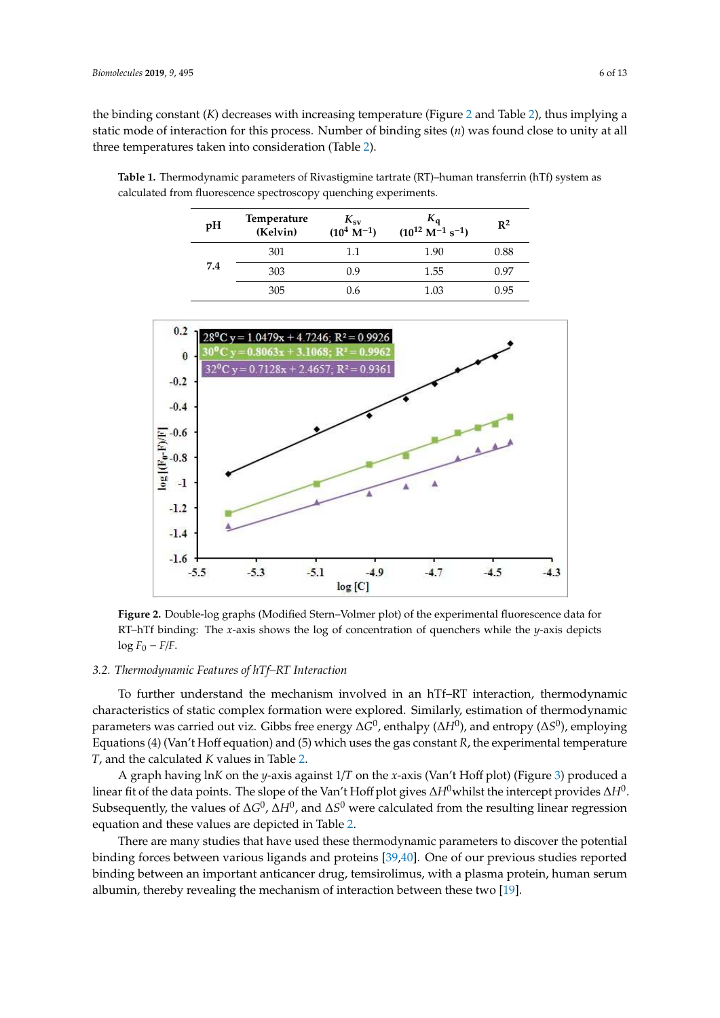the binding constant (*K*) decreases with increasing temperature (Figure 2 and Table 2), thus implying a static mode of interaction for this process. Number of binding sites (*n*) was found close to unity at all three temperatures taken into consideration (Table 2).

| pH  | <b>Temperature</b><br>(Kelvin) | $K_{\rm sv}$<br>$(10^4 \text{ M}^{-1})$ | $K_{q}$<br>$(10^{12} \text{ M}^{-1} \text{ s}^{-1})$ | $R^2$ |  |
|-----|--------------------------------|-----------------------------------------|------------------------------------------------------|-------|--|
|     | 301                            | 1.1                                     | 1.90                                                 | 0.88  |  |
| 7.4 | 303                            | 0.9                                     | 1.55                                                 | 0.97  |  |
|     | 305                            | 0.6                                     | 1.03                                                 | 0.95  |  |



**Table 1.** Thermodynamic parameters of Rivastigmine tartrate (RT)–human transferrin (hTf) system as calculated from fluorescence spectroscopy quenching experiments.

 $log F_0 - F/F$ . **Figure 2.** Double-log graphs (Modified Stern–Volmer plot) of the experimental fluorescence data for RT–hTf binding: The *x*-axis shows the log of concentration of quenchers while the *y*-axis depicts

## *3.2. Thermodynamic Features of hTf–RT Interaction*

parameters was carried out viz. Gibbs free energy  $\Delta G^0$ , enthalpy ( $\Delta H^0$ ), and entropy ( $\Delta S^0$ ), employing To further understand the mechanism involved in an hTf–RT interaction, thermodynamic characteristics of static complex formation were explored. Similarly, estimation of thermodynamic Equations (4) (Van't Hoff equation) and (5) which uses the gas constant *R*, the experimental temperature *T*, and the calculated *K* values in Table 2.

*λ* linear fit of the data points. The slope of the Van't Hoff plot gives ∆*H*<sup>0</sup>whilst the intercept provides ∆*H*<sup>0</sup>. Subsequently, the values of  $\Delta G^0$ ,  $\Delta H^0$ , and  $\Delta S^0$  were calculated from the resulting linear regression A graph having ln*K* on the *y*-axis against 1/*T* on the *x*-axis (Van't Hoff plot) (Figure 3) produced a equation and these values are depicted in Table 2.

There are many studies that have used these thermodynamic parameters to discover the potential binding forces between various ligands and proteins [39,40]. One of our previous studies reported binding between an important anticancer drug, temsirolimus, with a plasma protein, human serum albumin, thereby revealing the mechanism of interaction between these two [19].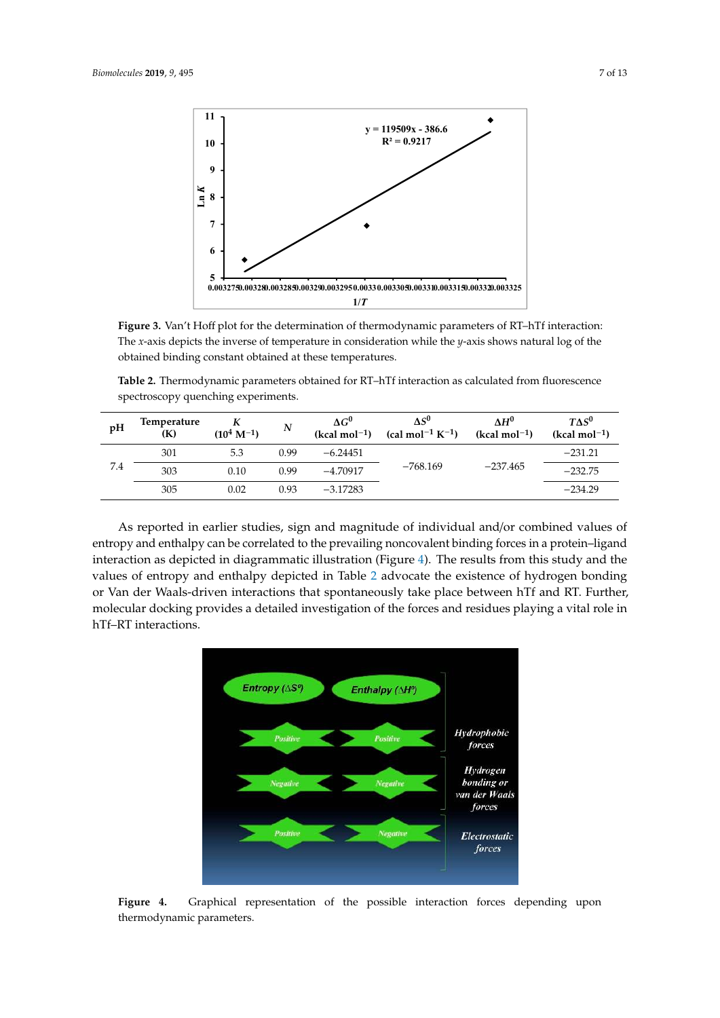

. obtained binding constant obtained at these temperatures. **Figure 3.** Van't Hoff plot for the determination of thermodynamic parameters of RT–hTf interaction: The *x*-axis depicts the inverse of temperature in consideration while the *y*-axis shows natural log of the

**−** spectroscopy quenching experiments. **Table 2.** Thermodynamic parameters obtained for RT–hTf interaction as calculated from fluorescence  $\frac{H}{H}$ 

| pH  | Temperature<br>(K) | $(10^4 \text{ M}^{-1})$ | $\boldsymbol{N}$ | $\Delta G^0$<br>$(kcal mol-1)$ | $\Delta S^0$<br>(cal mol <sup>-1</sup> K <sup>-1</sup> ) | $\Lambda H^0$<br>$(kcal mol-1)$ | $T\Delta S^0$<br>$(kcal mol-1)$ |
|-----|--------------------|-------------------------|------------------|--------------------------------|----------------------------------------------------------|---------------------------------|---------------------------------|
| 7.4 | 301                | 5.3                     | 0.99             | $-6.24451$                     | $-768.169$                                               | $-237.465$                      | $-231.21$                       |
|     | 303                | 0.10                    | 0.99             | $-4.70917$                     |                                                          |                                 | $-232.75$                       |
|     | 305                | 0.02                    | 0.93             | $-3.17283$                     |                                                          |                                 | $-234.29$                       |

As reported in earlier studies, sign and magnitude of individual and/or combined values of entropy and enthalpy can be correlated to the prevailing noncovalent binding forces in a protein–ligand interaction as depicted in diagrammatic illustration (Figure 4). The results from this study and the values of entropy and enthalpy depicted in Table 2 advocate the existence of hydrogen bonding or Van der Waals-driven interactions that spontaneously take place between hTf and RT. Further, molecular docking provides a detailed investigation of the forces and residues playing a vital role in hTf–RT interactions.



**Figure 4.** Graphical representation of the possible interaction forces depending upon thermodynamic parameters.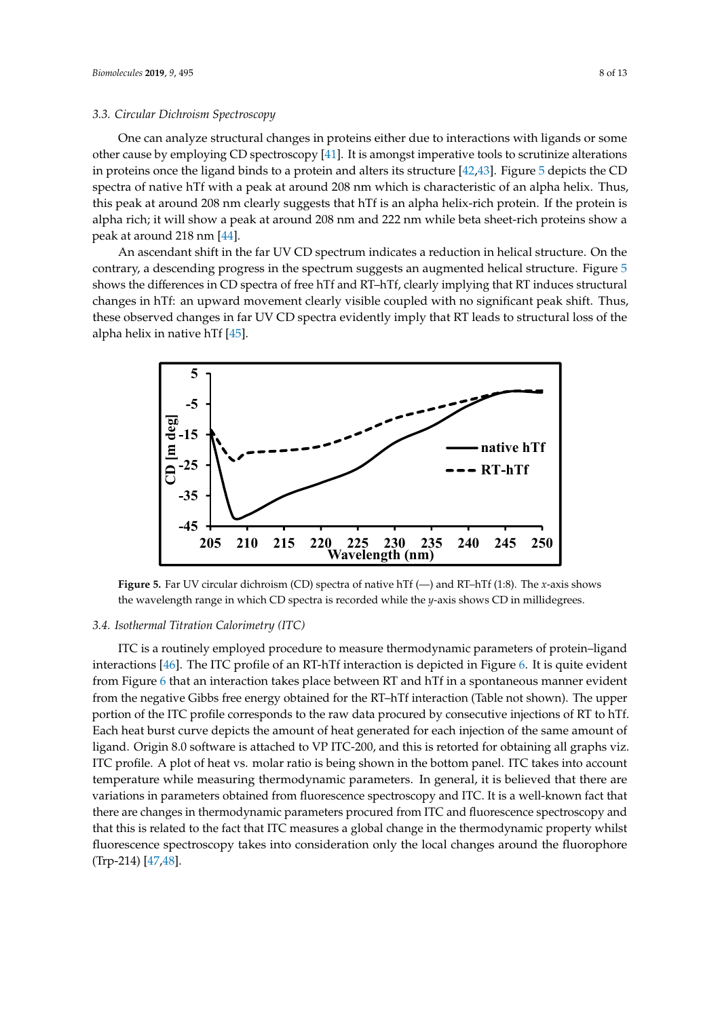#### *3.3. Circular Dichroism Spectroscopy*

One can analyze structural changes in proteins either due to interactions with ligands or some other cause by employing CD spectroscopy [41]. It is amongst imperative tools to scrutinize alterations in proteins once the ligand binds to a protein and alters its structure [42,43]. Figure 5 depicts the CD spectra of native hTf with a peak at around 208 nm which is characteristic of an alpha helix. Thus, this peak at around 208 nm clearly suggests that hTf is an alpha helix-rich protein. If the protein is alpha rich; it will show a peak at around 208 nm and 222 nm while beta sheet-rich proteins show a peak at around 218 nm [44].

An ascendant shift in the far UV CD spectrum indicates a reduction in helical structure. On the contrary, a descending progress in the spectrum suggests an augmented helical structure. Figure 5 shows the differences in CD spectra of free hTf and RT–hTf, clearly implying that RT induces structural changes in hTf: an upward movement clearly visible coupled with no significant peak shift. Thus, these observed changes in far UV CD spectra evidently imply that RT leads to structural loss of the alpha helix in native hTf [45].



**Figure 5.** Far UV circular dichroism (CD) spectra of native hTf (—) and RT–hTf (1:8). The *x*-axis shows the wavelength range in which CD spectra is recorded while the *y*-axis shows CD in millidegrees.

## *3.4. Isothermal Titration Calorimetry (ITC)*

ITC is a routinely employed procedure to measure thermodynamic parameters of protein–ligand interactions [46]. The ITC profile of an RT-hTf interaction is depicted in Figure 6. It is quite evident from Figure 6 that an interaction takes place between RT and hTf in a spontaneous manner evident from the negative Gibbs free energy obtained for the RT–hTf interaction (Table not shown). The upper portion of the ITC profile corresponds to the raw data procured by consecutive injections of RT to hTf. Each heat burst curve depicts the amount of heat generated for each injection of the same amount of ligand. Origin 8.0 software is attached to VP ITC-200, and this is retorted for obtaining all graphs viz. ITC profile. A plot of heat vs. molar ratio is being shown in the bottom panel. ITC takes into account temperature while measuring thermodynamic parameters. In general, it is believed that there are variations in parameters obtained from fluorescence spectroscopy and ITC. It is a well-known fact that there are changes in thermodynamic parameters procured from ITC and fluorescence spectroscopy and that this is related to the fact that ITC measures a global change in the thermodynamic property whilst fluorescence spectroscopy takes into consideration only the local changes around the fluorophore (Trp-214) [47,48].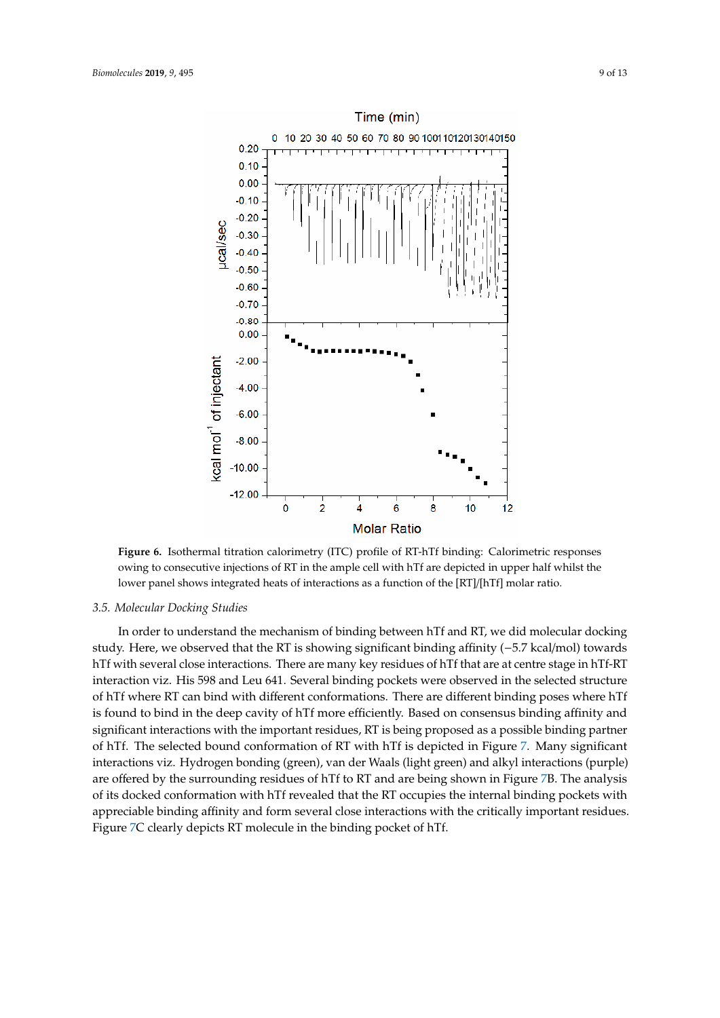

**Figure 6.** Isothermal titration calorimetry (ITC) profile of RT-hTf binding: Calorimetric responses owing to consecutive injections of RT in the ample cell with hTf are depicted in upper half whilst the lower panel shows integrated heats of interactions as a function of the [RT]/[hTf] molar ratio.

# *3.5. Molecular Docking Studies*

− hTf with several close interactions. There are many key residues of hTf that are at centre stage in hTf-RT In order to understand the mechanism of binding between hTf and RT, we did molecular docking study. Here, we observed that the RT is showing significant binding affinity (−5.7 kcal/mol) towards interaction viz. His 598 and Leu 641. Several binding pockets were observed in the selected structure of hTf where RT can bind with different conformations. There are different binding poses where hTf is found to bind in the deep cavity of hTf more efficiently. Based on consensus binding affinity and significant interactions with the important residues, RT is being proposed as a possible binding partner of hTf. The selected bound conformation of RT with hTf is depicted in Figure 7. Many significant interactions viz. Hydrogen bonding (green), van der Waals (light green) and alkyl interactions (purple) are offered by the surrounding residues of hTf to RT and are being shown in Figure 7B. The analysis of its docked conformation with hTf revealed that the RT occupies the internal binding pockets with appreciable binding affinity and form several close interactions with the critically important residues. Figure 7C clearly depicts RT molecule in the binding pocket of hTf.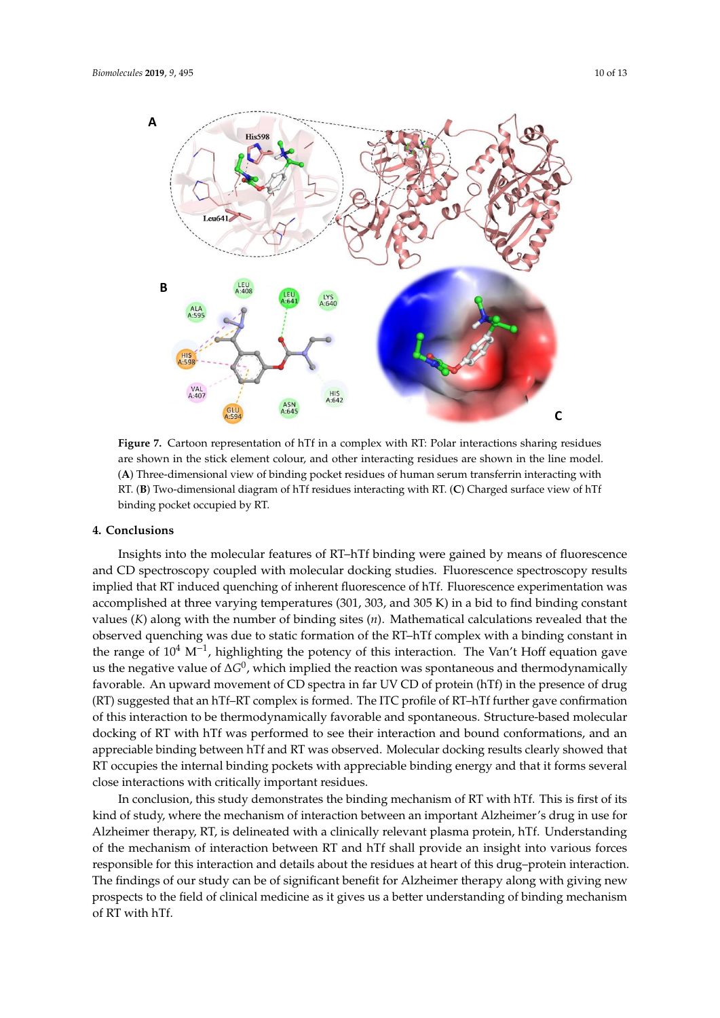

**Figure 7.** Cartoon representation of hTf in a complex with RT: Polar interactions sharing residues are shown in the stick element colour, and other interacting residues are shown in the line model. (**A**) Three-dimensional view of binding pocket residues of human serum transferrin interacting with RT. (**B**) Two-dimensional diagram of hTf residues interacting with RT. (**C**) Charged surface view of hTf binding pocket occupied by RT.

# **4. Conclusions**

– and CD spectroscopy coupled with molecular docking studies. Fluorescence spectroscopy results the range of 10<sup>4</sup> M<sup>-1</sup>, highlighting the potency of this interaction. The Van't Hoff equation gave us the negative value of ∆*G*<sup>0</sup>, which implied the reaction was spontaneous and thermodynamically favorable. An upward movement of CD spectra in far UV CD of protein (hTf) in the presence of drug – – of this interaction to be thermodynamically favorable and spontaneous. Structure-based molecular Insights into the molecular features of RT–hTf binding were gained by means of fluorescence implied that RT induced quenching of inherent fluorescence of hTf. Fluorescence experimentation was accomplished at three varying temperatures (301, 303, and 305 K) in a bid to find binding constant values (*K*) along with the number of binding sites (*n*). Mathematical calculations revealed that the observed quenching was due to static formation of the RT–hTf complex with a binding constant in (RT) suggested that an hTf–RT complex is formed. The ITC profile of RT–hTf further gave confirmation docking of RT with hTf was performed to see their interaction and bound conformations, and an appreciable binding between hTf and RT was observed. Molecular docking results clearly showed that RT occupies the internal binding pockets with appreciable binding energy and that it forms several close interactions with critically important residues.

In conclusion, this study demonstrates the binding mechanism of RT with hTf. This is first of its kind of study, where the mechanism of interaction between an important Alzheimer's drug in use for Alzheimer therapy, RT, is delineated with a clinically relevant plasma protein, hTf. Understanding of the mechanism of interaction between RT and hTf shall provide an insight into various forces responsible for this interaction and details about the residues at heart of this drug–protein interaction. The findings of our study can be of significant benefit for Alzheimer therapy along with giving new prospects to the field of clinical medicine as it gives us a better understanding of binding mechanism of RT with hTf.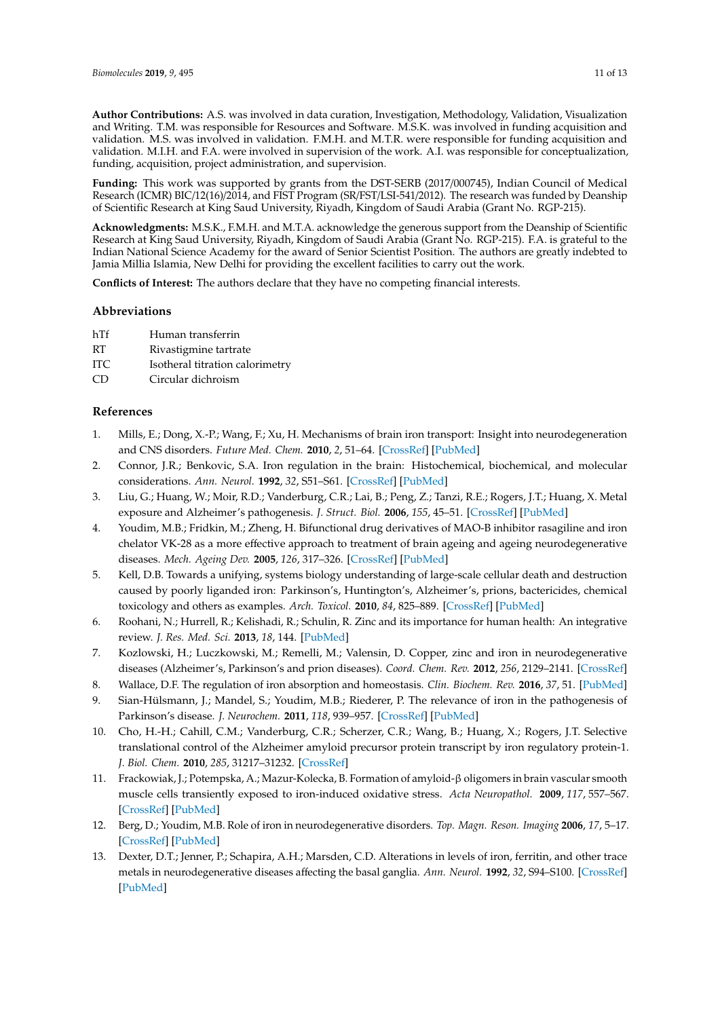**Author Contributions:** A.S. was involved in data curation, Investigation, Methodology, Validation, Visualization and Writing. T.M. was responsible for Resources and Software. M.S.K. was involved in funding acquisition and validation. M.S. was involved in validation. F.M.H. and M.T.R. were responsible for funding acquisition and validation. M.I.H. and F.A. were involved in supervision of the work. A.I. was responsible for conceptualization, funding, acquisition, project administration, and supervision.

**Funding:** This work was supported by grants from the DST-SERB (2017/000745), Indian Council of Medical Research (ICMR) BIC/12(16)/2014, and FIST Program (SR/FST/LSI-541/2012). The research was funded by Deanship of Scientific Research at King Saud University, Riyadh, Kingdom of Saudi Arabia (Grant No. RGP-215).

**Acknowledgments:** M.S.K., F.M.H. and M.T.A. acknowledge the generous support from the Deanship of Scientific Research at King Saud University, Riyadh, Kingdom of Saudi Arabia (Grant No. RGP-215). F.A. is grateful to the Indian National Science Academy for the award of Senior Scientist Position. The authors are greatly indebted to Jamia Millia Islamia, New Delhi for providing the excellent facilities to carry out the work.

**Conflicts of Interest:** The authors declare that they have no competing financial interests.

# **Abbreviations**

- hTf Human transferrin
- RT Rivastigmine tartrate
- ITC Isotheral titration calorimetry
- CD Circular dichroism

# **References**

- 1. Mills, E.; Dong, X.-P.; Wang, F.; Xu, H. Mechanisms of brain iron transport: Insight into neurodegeneration and CNS disorders. *Future Med. Chem.* **2010**, *2*, 51–64. [CrossRef] [PubMed]
- 2. Connor, J.R.; Benkovic, S.A. Iron regulation in the brain: Histochemical, biochemical, and molecular considerations. *Ann. Neurol.* **1992**, *32*, S51–S61. [CrossRef] [PubMed]
- 3. Liu, G.; Huang, W.; Moir, R.D.; Vanderburg, C.R.; Lai, B.; Peng, Z.; Tanzi, R.E.; Rogers, J.T.; Huang, X. Metal exposure and Alzheimer's pathogenesis. *J. Struct. Biol.* **2006**, *155*, 45–51. [CrossRef] [PubMed]
- 4. Youdim, M.B.; Fridkin, M.; Zheng, H. Bifunctional drug derivatives of MAO-B inhibitor rasagiline and iron chelator VK-28 as a more effective approach to treatment of brain ageing and ageing neurodegenerative diseases. *Mech. Ageing Dev.* **2005**, *126*, 317–326. [CrossRef] [PubMed]
- 5. Kell, D.B. Towards a unifying, systems biology understanding of large-scale cellular death and destruction caused by poorly liganded iron: Parkinson's, Huntington's, Alzheimer's, prions, bactericides, chemical toxicology and others as examples. *Arch. Toxicol.* **2010**, *84*, 825–889. [CrossRef] [PubMed]
- 6. Roohani, N.; Hurrell, R.; Kelishadi, R.; Schulin, R. Zinc and its importance for human health: An integrative review. *J. Res. Med. Sci.* **2013**, *18*, 144. [PubMed]
- 7. Kozlowski, H.; Luczkowski, M.; Remelli, M.; Valensin, D. Copper, zinc and iron in neurodegenerative diseases (Alzheimer's, Parkinson's and prion diseases). *Coord. Chem. Rev.* **2012**, *256*, 2129–2141. [CrossRef]
- 8. Wallace, D.F. The regulation of iron absorption and homeostasis. *Clin. Biochem. Rev.* **2016**, *37*, 51. [PubMed]
- 9. Sian-Hülsmann, J.; Mandel, S.; Youdim, M.B.; Riederer, P. The relevance of iron in the pathogenesis of Parkinson's disease. *J. Neurochem.* **2011**, *118*, 939–957. [CrossRef] [PubMed]
- 10. Cho, H.-H.; Cahill, C.M.; Vanderburg, C.R.; Scherzer, C.R.; Wang, B.; Huang, X.; Rogers, J.T. Selective translational control of the Alzheimer amyloid precursor protein transcript by iron regulatory protein-1. *J. Biol. Chem.* **2010**, *285*, 31217–31232. [CrossRef]
- 11. Frackowiak, J.; Potempska, A.; Mazur-Kolecka, B. Formation of amyloid-β oligomers in brain vascular smooth muscle cells transiently exposed to iron-induced oxidative stress. *Acta Neuropathol.* **2009**, *117*, 557–567. [CrossRef] [PubMed]
- 12. Berg, D.; Youdim, M.B. Role of iron in neurodegenerative disorders. *Top. Magn. Reson. Imaging* **2006**, *17*, 5–17. [CrossRef] [PubMed]
- 13. Dexter, D.T.; Jenner, P.; Schapira, A.H.; Marsden, C.D. Alterations in levels of iron, ferritin, and other trace metals in neurodegenerative diseases affecting the basal ganglia. *Ann. Neurol.* **1992**, *32*, S94–S100. [CrossRef] [PubMed]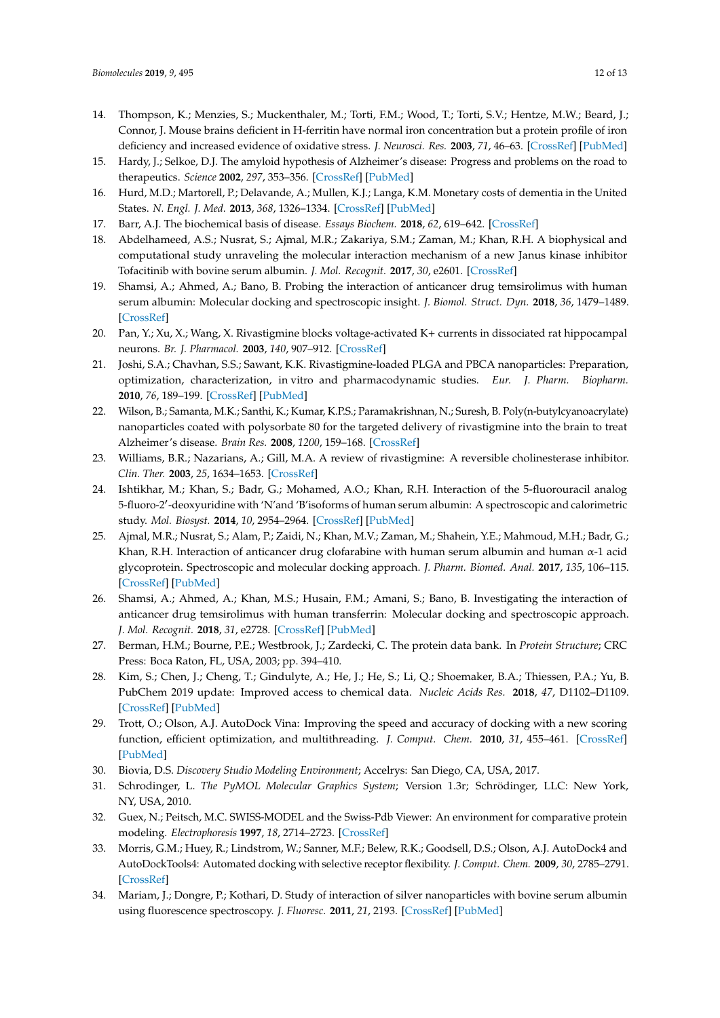- 14. Thompson, K.; Menzies, S.; Muckenthaler, M.; Torti, F.M.; Wood, T.; Torti, S.V.; Hentze, M.W.; Beard, J.; Connor, J. Mouse brains deficient in H-ferritin have normal iron concentration but a protein profile of iron deficiency and increased evidence of oxidative stress. *J. Neurosci. Res.* **2003**, *71*, 46–63. [CrossRef] [PubMed]
- 15. Hardy, J.; Selkoe, D.J. The amyloid hypothesis of Alzheimer's disease: Progress and problems on the road to therapeutics. *Science* **2002**, *297*, 353–356. [CrossRef] [PubMed]
- 16. Hurd, M.D.; Martorell, P.; Delavande, A.; Mullen, K.J.; Langa, K.M. Monetary costs of dementia in the United States. *N. Engl. J. Med.* **2013**, *368*, 1326–1334. [CrossRef] [PubMed]
- 17. Barr, A.J. The biochemical basis of disease. *Essays Biochem.* **2018**, *62*, 619–642. [CrossRef]
- 18. Abdelhameed, A.S.; Nusrat, S.; Ajmal, M.R.; Zakariya, S.M.; Zaman, M.; Khan, R.H. A biophysical and computational study unraveling the molecular interaction mechanism of a new Janus kinase inhibitor Tofacitinib with bovine serum albumin. *J. Mol. Recognit.* **2017**, *30*, e2601. [CrossRef]
- 19. Shamsi, A.; Ahmed, A.; Bano, B. Probing the interaction of anticancer drug temsirolimus with human serum albumin: Molecular docking and spectroscopic insight. *J. Biomol. Struct. Dyn.* **2018**, *36*, 1479–1489. [CrossRef]
- 20. Pan, Y.; Xu, X.; Wang, X. Rivastigmine blocks voltage-activated K+ currents in dissociated rat hippocampal neurons. *Br. J. Pharmacol.* **2003**, *140*, 907–912. [CrossRef]
- 21. Joshi, S.A.; Chavhan, S.S.; Sawant, K.K. Rivastigmine-loaded PLGA and PBCA nanoparticles: Preparation, optimization, characterization, in vitro and pharmacodynamic studies. *Eur. J. Pharm. Biopharm.* **2010**, *76*, 189–199. [CrossRef] [PubMed]
- 22. Wilson, B.; Samanta, M.K.; Santhi, K.; Kumar, K.P.S.; Paramakrishnan, N.; Suresh, B. Poly(n-butylcyanoacrylate) nanoparticles coated with polysorbate 80 for the targeted delivery of rivastigmine into the brain to treat Alzheimer's disease. *Brain Res.* **2008**, *1200*, 159–168. [CrossRef]
- 23. Williams, B.R.; Nazarians, A.; Gill, M.A. A review of rivastigmine: A reversible cholinesterase inhibitor. *Clin. Ther.* **2003**, *25*, 1634–1653. [CrossRef]
- 24. Ishtikhar, M.; Khan, S.; Badr, G.; Mohamed, A.O.; Khan, R.H. Interaction of the 5-fluorouracil analog 5-fluoro-2′ -deoxyuridine with 'N'and 'B'isoforms of human serum albumin: A spectroscopic and calorimetric study. *Mol. Biosyst.* **2014**, *10*, 2954–2964. [CrossRef] [PubMed]
- 25. Ajmal, M.R.; Nusrat, S.; Alam, P.; Zaidi, N.; Khan, M.V.; Zaman, M.; Shahein, Y.E.; Mahmoud, M.H.; Badr, G.; Khan, R.H. Interaction of anticancer drug clofarabine with human serum albumin and human  $\alpha$ -1 acid glycoprotein. Spectroscopic and molecular docking approach. *J. Pharm. Biomed. Anal.* **2017**, *135*, 106–115. [CrossRef] [PubMed]
- 26. Shamsi, A.; Ahmed, A.; Khan, M.S.; Husain, F.M.; Amani, S.; Bano, B. Investigating the interaction of anticancer drug temsirolimus with human transferrin: Molecular docking and spectroscopic approach. *J. Mol. Recognit.* **2018**, *31*, e2728. [CrossRef] [PubMed]
- 27. Berman, H.M.; Bourne, P.E.; Westbrook, J.; Zardecki, C. The protein data bank. In *Protein Structure*; CRC Press: Boca Raton, FL, USA, 2003; pp. 394–410.
- 28. Kim, S.; Chen, J.; Cheng, T.; Gindulyte, A.; He, J.; He, S.; Li, Q.; Shoemaker, B.A.; Thiessen, P.A.; Yu, B. PubChem 2019 update: Improved access to chemical data. *Nucleic Acids Res.* **2018**, *47*, D1102–D1109. [CrossRef] [PubMed]
- 29. Trott, O.; Olson, A.J. AutoDock Vina: Improving the speed and accuracy of docking with a new scoring function, efficient optimization, and multithreading. *J. Comput. Chem.* **2010**, *31*, 455–461. [CrossRef] [PubMed]
- 30. Biovia, D.S. *Discovery Studio Modeling Environment*; Accelrys: San Diego, CA, USA, 2017.
- 31. Schrodinger, L. *The PyMOL Molecular Graphics System*; Version 1.3r; Schrödinger, LLC: New York, NY, USA, 2010.
- 32. Guex, N.; Peitsch, M.C. SWISS-MODEL and the Swiss-Pdb Viewer: An environment for comparative protein modeling. *Electrophoresis* **1997**, *18*, 2714–2723. [CrossRef]
- 33. Morris, G.M.; Huey, R.; Lindstrom, W.; Sanner, M.F.; Belew, R.K.; Goodsell, D.S.; Olson, A.J. AutoDock4 and AutoDockTools4: Automated docking with selective receptor flexibility. *J. Comput. Chem.* **2009**, *30*, 2785–2791. [CrossRef]
- 34. Mariam, J.; Dongre, P.; Kothari, D. Study of interaction of silver nanoparticles with bovine serum albumin using fluorescence spectroscopy. *J. Fluoresc.* **2011**, *21*, 2193. [CrossRef] [PubMed]